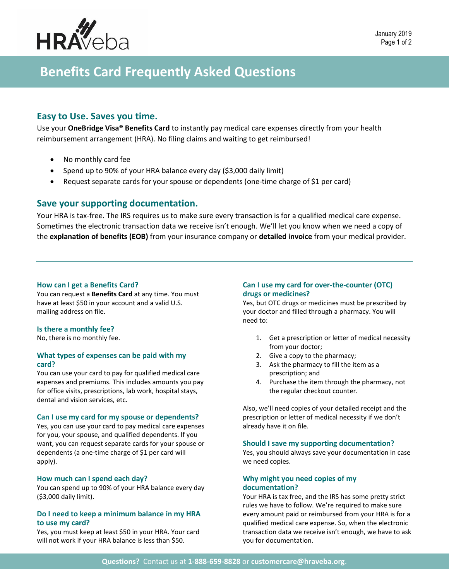

# **Benefits Card Frequently Asked Questions**

# **Easy to Use. Saves you time.**

Use your **OneBridge Visa® Benefits Card** to instantly pay medical care expenses directly from your health reimbursement arrangement (HRA). No filing claims and waiting to get reimbursed!

- No monthly card fee
- Spend up to 90% of your HRA balance every day (\$3,000 daily limit)
- Request separate cards for your spouse or dependents (one-time charge of \$1 per card)

# **Save your supporting documentation.**

Your HRA is tax-free. The IRS requires us to make sure every transaction is for a qualified medical care expense. Sometimes the electronic transaction data we receive isn't enough. We'll let you know when we need a copy of the **explanation of benefits (EOB)** from your insurance company or **detailed invoice** from your medical provider.

#### **How can I get a Benefits Card?**

You can request a **Benefits Card** at any time. You must have at least \$50 in your account and a valid U.S. mailing address on file.

#### **Is there a monthly fee?**

No, there is no monthly fee.

#### **What types of expenses can be paid with my card?**

You can use your card to pay for qualified medical care expenses and premiums. This includes amounts you pay for office visits, prescriptions, lab work, hospital stays, dental and vision services, etc.

#### **Can I use my card for my spouse or dependents?**

Yes, you can use your card to pay medical care expenses for you, your spouse, and qualified dependents. If you want, you can request separate cards for your spouse or dependents (a one-time charge of \$1 per card will apply).

#### **How much can I spend each day?**

You can spend up to 90% of your HRA balance every day (\$3,000 daily limit).

#### **Do I need to keep a minimum balance in my HRA to use my card?**

Yes, you must keep at least \$50 in your HRA. Your card will not work if your HRA balance is less than \$50.

## **Can I use my card for over-the-counter (OTC) drugs or medicines?**

Yes, but OTC drugs or medicines must be prescribed by your doctor and filled through a pharmacy. You will need to:

- 1. Get a prescription or letter of medical necessity from your doctor;
- 2. Give a copy to the pharmacy;
- 3. Ask the pharmacy to fill the item as a prescription; and
- 4. Purchase the item through the pharmacy, not the regular checkout counter.

Also, we'll need copies of your detailed receipt and the prescription or letter of medical necessity if we don't already have it on file.

#### **Should I save my supporting documentation?**

Yes, you should always save your documentation in case we need copies.

#### **Why might you need copies of my documentation?**

Your HRA is tax free, and the IRS has some pretty strict rules we have to follow. We're required to make sure every amount paid or reimbursed from your HRA is for a qualified medical care expense. So, when the electronic transaction data we receive isn't enough, we have to ask you for documentation.